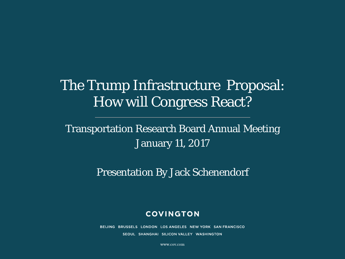# The Trump Infrastructure Proposal: How will Congress React?

Transportation Research Board Annual Meeting January 11, 2017

Presentation By Jack Schenendorf

#### **COVINGTON**

BEIJING BRUSSELS LONDON LOS ANGELES NEW YORK SAN FRANCISCO SEOUL SHANGHAI SILICON VALLEY WASHINGTON

www.cov.com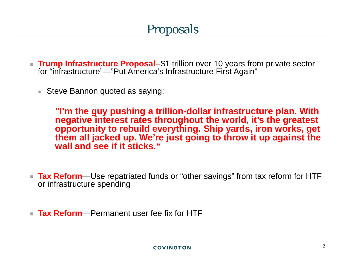## Proposals

- **Trump Infrastructure Proposal**--\$1 trillion over 10 years from private sector for "infrastructure"—"Put America's Infrastructure First Again"
	- Steve Bannon quoted as saying:

**"I'm the guy pushing a trillion-dollar infrastructure plan. With negative interest rates throughout the world, it's the greatest opportunity to rebuild everything. Ship yards, iron works, get them all jacked up. We're just going to throw it up against the wall and see if it sticks."**

- **Tax Reform**—Use repatriated funds or "other savings" from tax reform for HTF or infrastructure spending
- Tax Reform—Permanent user fee fix for HTF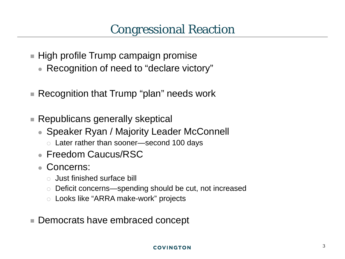#### Congressional Reaction

- $\blacksquare$  High profile Trump campaign promise
	- Recognition of need to "declare victory"
- Recognition that Trump "plan" needs work
- Republicans generally skeptical
	- Speaker Ryan / Majority Leader McConnell
		- Later rather than sooner—second 100 days
	- **Freedom Caucus/RSC**
	- Concerns:
		- Just finished surface bill
		- Deficit concerns—spending should be cut, not increased
		- Looks like "ARRA make-work" projects
- Democrats have embraced concept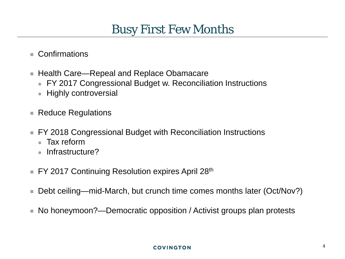### Busy First Few Months

- Confirmations
- Health Care—Repeal and Replace Obamacare
	- FY 2017 Congressional Budget w. Reconciliation Instructions
	- Highly controversial
- Reduce Regulations
- FY 2018 Congressional Budget with Reconciliation Instructions
	- Tax reform
	- Infrastructure?
- FY 2017 Continuing Resolution expires April 28<sup>th</sup>
- Debt ceiling—mid-March, but crunch time comes months later (Oct/Nov?)
- No honeymoon?—Democratic opposition / Activist groups plan protests

#### **COVINGTON**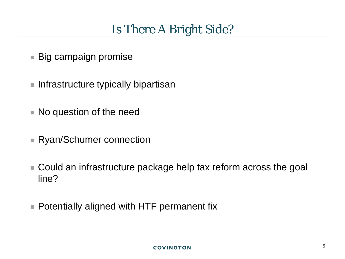- Big campaign promise
- $\blacksquare$  Infrastructure typically bipartisan
- No question of the need
- Ryan/Schumer connection
- Could an infrastructure package help tax reform across the goal line?
- Potentially aligned with HTF permanent fix